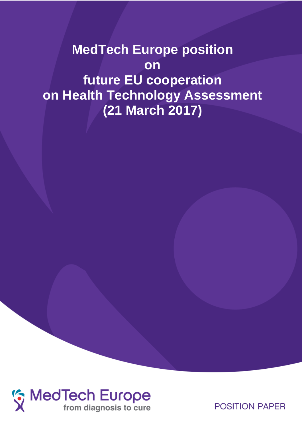**MedTech Europe position on future EU cooperation on Health Technology Assessment (21 March 2017)**



**POSITION PAPER**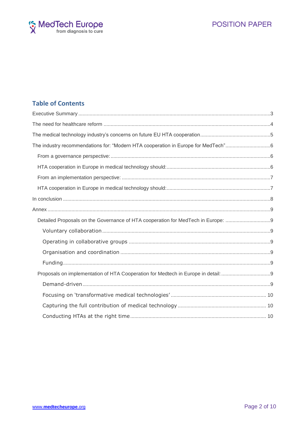

## **Table of Contents**

| The industry recommendations for: "Modern HTA cooperation in Europe for MedTech"6 |  |
|-----------------------------------------------------------------------------------|--|
|                                                                                   |  |
|                                                                                   |  |
|                                                                                   |  |
|                                                                                   |  |
|                                                                                   |  |
|                                                                                   |  |
| Detailed Proposals on the Governance of HTA cooperation for MedTech in Europe:    |  |
|                                                                                   |  |
|                                                                                   |  |
|                                                                                   |  |
|                                                                                   |  |
|                                                                                   |  |
|                                                                                   |  |
|                                                                                   |  |
|                                                                                   |  |
|                                                                                   |  |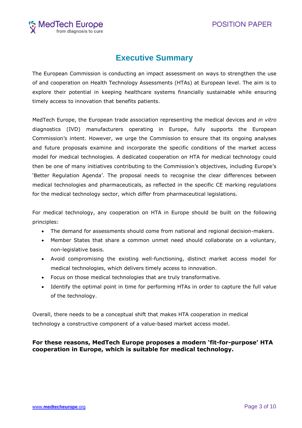

# **Executive Summary**

<span id="page-2-0"></span>The European Commission is conducting an impact assessment on ways to strengthen the use of and cooperation on Health Technology Assessments (HTAs) at European level. The aim is to explore their potential in keeping healthcare systems financially sustainable while ensuring timely access to innovation that benefits patients.

MedTech Europe, the European trade association representing the medical devices and *in vitro* diagnostics (IVD) manufacturers operating in Europe, fully supports the European Commission's intent. However, we urge the Commission to ensure that its ongoing analyses and future proposals examine and incorporate the specific conditions of the market access model for medical technologies. A dedicated cooperation on HTA for medical technology could then be one of many initiatives contributing to the Commission's objectives, including Europe's 'Better Regulation Agenda'. The proposal needs to recognise the clear differences between medical technologies and pharmaceuticals, as reflected in the specific CE marking regulations for the medical technology sector, which differ from pharmaceutical legislations.

For medical technology, any cooperation on HTA in Europe should be built on the following principles:

- The demand for assessments should come from national and regional decision-makers.
- Member States that share a common unmet need should collaborate on a voluntary, non-legislative basis.
- Avoid compromising the existing well-functioning, distinct market access model for medical technologies, which delivers timely access to innovation.
- Focus on those medical technologies that are truly transformative.
- Identify the optimal point in time for performing HTAs in order to capture the full value of the technology.

Overall, there needs to be a conceptual shift that makes HTA cooperation in medical technology a constructive component of a value-based market access model.

## **For these reasons, MedTech Europe proposes a modern 'fit-for-purpose' HTA cooperation in Europe, which is suitable for medical technology.**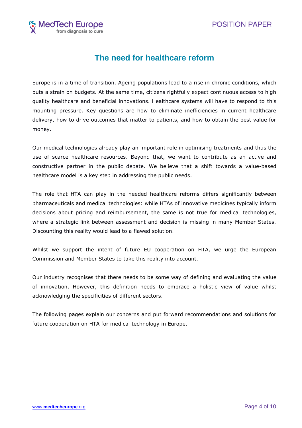

# **The need for healthcare reform**

<span id="page-3-0"></span>Europe is in a time of transition. Ageing populations lead to a rise in chronic conditions, which puts a strain on budgets. At the same time, citizens rightfully expect continuous access to high quality healthcare and beneficial innovations. Healthcare systems will have to respond to this mounting pressure. Key questions are how to eliminate inefficiencies in current healthcare delivery, how to drive outcomes that matter to patients, and how to obtain the best value for money.

Our medical technologies already play an important role in optimising treatments and thus the use of scarce healthcare resources. Beyond that, we want to contribute as an active and constructive partner in the public debate. We believe that a shift towards a value-based healthcare model is a key step in addressing the public needs.

The role that HTA can play in the needed healthcare reforms differs significantly between pharmaceuticals and medical technologies: while HTAs of innovative medicines typically inform decisions about pricing and reimbursement, the same is not true for medical technologies, where a strategic link between assessment and decision is missing in many Member States. Discounting this reality would lead to a flawed solution.

Whilst we support the intent of future EU cooperation on HTA, we urge the European Commission and Member States to take this reality into account.

Our industry recognises that there needs to be some way of defining and evaluating the value of innovation. However, this definition needs to embrace a holistic view of value whilst acknowledging the specificities of different sectors.

The following pages explain our concerns and put forward recommendations and solutions for future cooperation on HTA for medical technology in Europe.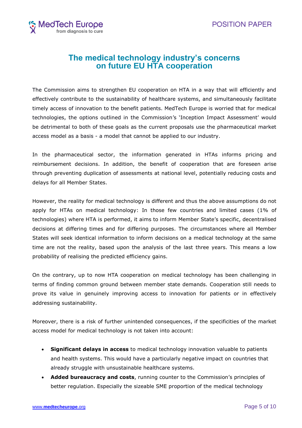

# **The medical technology industry's concerns on future EU HTA cooperation**

<span id="page-4-0"></span>The Commission aims to strengthen EU cooperation on HTA in a way that will efficiently and effectively contribute to the sustainability of healthcare systems, and simultaneously facilitate timely access of innovation to the benefit patients. MedTech Europe is worried that for medical technologies, the options outlined in the Commission's 'Inception Impact Assessment' would be detrimental to both of these goals as the current proposals use the pharmaceutical market access model as a basis - a model that cannot be applied to our industry.

In the pharmaceutical sector, the information generated in HTAs informs pricing and reimbursement decisions. In addition, the benefit of cooperation that are foreseen arise through preventing duplication of assessments at national level, potentially reducing costs and delays for all Member States.

However, the reality for medical technology is different and thus the above assumptions do not apply for HTAs on medical technology: In those few countries and limited cases (1% of technologies) where HTA is performed, it aims to inform Member State's specific, decentralised decisions at differing times and for differing purposes. The circumstances where all Member States will seek identical information to inform decisions on a medical technology at the same time are not the reality, based upon the analysis of the last three years. This means a low probability of realising the predicted efficiency gains.

On the contrary, up to now HTA cooperation on medical technology has been challenging in terms of finding common ground between member state demands. Cooperation still needs to prove its value in genuinely improving access to innovation for patients or in effectively addressing sustainability.

Moreover, there is a risk of further unintended consequences, if the specificities of the market access model for medical technology is not taken into account:

- **Significant delays in access** to medical technology innovation valuable to patients and health systems. This would have a particularly negative impact on countries that already struggle with unsustainable healthcare systems.
- **Added bureaucracy and costs**, running counter to the Commission's principles of better regulation. Especially the sizeable SME proportion of the medical technology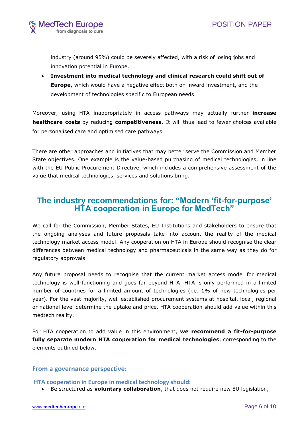

industry (around 95%) could be severely affected, with a risk of losing jobs and innovation potential in Europe.

 **Investment into medical technology and clinical research could shift out of Europe,** which would have a negative effect both on inward investment, and the development of technologies specific to European needs.

Moreover, using HTA inappropriately in access pathways may actually further **increase healthcare costs** by reducing **competitiveness.** It will thus lead to fewer choices available for personalised care and optimised care pathways.

There are other approaches and initiatives that may better serve the Commission and Member State objectives. One example is the value-based purchasing of medical technologies, in line with the EU Public Procurement Directive, which includes a comprehensive assessment of the value that medical technologies, services and solutions bring.

# <span id="page-5-0"></span>**The industry recommendations for: "Modern 'fit-for-purpose' HTA cooperation in Europe for MedTech"**

We call for the Commission, Member States, EU Institutions and stakeholders to ensure that the ongoing analyses and future proposals take into account the reality of the medical technology market access model. Any cooperation on HTA in Europe should recognise the clear differences between medical technology and pharmaceuticals in the same way as they do for regulatory approvals.

Any future proposal needs to recognise that the current market access model for medical technology is well-functioning and goes far beyond HTA. HTA is only performed in a limited number of countries for a limited amount of technologies (i.e. 1% of new technologies per year). For the vast majority, well established procurement systems at hospital, local, regional or national level determine the uptake and price. HTA cooperation should add value within this medtech reality.

For HTA cooperation to add value in this environment, **we recommend a fit-for-purpose fully separate modern HTA cooperation for medical technologies**, corresponding to the elements outlined below.

## <span id="page-5-1"></span>**From a governance perspective:**

<span id="page-5-2"></span>**HTA cooperation in Europe in medical technology should:**

Be structured as **voluntary collaboration**, that does not require new EU legislation,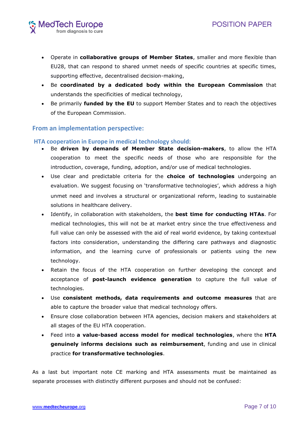- Operate in **collaborative groups of Member States**, smaller and more flexible than EU28, that can respond to shared unmet needs of specific countries at specific times, supporting effective, decentralised decision-making,
- Be **coordinated by a dedicated body within the European Commission** that understands the specificities of medical technology,
- Be primarily **funded by the EU** to support Member States and to reach the objectives of the European Commission.

## <span id="page-6-0"></span>**From an implementation perspective:**

### <span id="page-6-1"></span>**HTA cooperation in Europe in medical technology should:**

- Be **driven by demands of Member State decision-makers**, to allow the HTA cooperation to meet the specific needs of those who are responsible for the introduction, coverage, funding, adoption, and/or use of medical technologies.
- Use clear and predictable criteria for the **choice of technologies** undergoing an evaluation. We suggest focusing on 'transformative technologies', which address a high unmet need and involves a structural or organizational reform, leading to sustainable solutions in healthcare delivery.
- Identify, in collaboration with stakeholders, the **best time for conducting HTAs**. For medical technologies, this will not be at market entry since the true effectiveness and full value can only be assessed with the aid of real world evidence, by taking contextual factors into consideration, understanding the differing care pathways and diagnostic information, and the learning curve of professionals or patients using the new technology.
- Retain the focus of the HTA cooperation on further developing the concept and acceptance of **post-launch evidence generation** to capture the full value of technologies.
- Use **consistent methods, data requirements and outcome measures** that are able to capture the broader value that medical technology offers.
- Ensure close collaboration between HTA agencies, decision makers and stakeholders at all stages of the EU HTA cooperation.
- Feed into **a value-based access model for medical technologies**, where the **HTA genuinely informs decisions such as reimbursement**, funding and use in clinical practice **for transformative technologies**.

As a last but important note CE marking and HTA assessments must be maintained as separate processes with distinctly different purposes and should not be confused: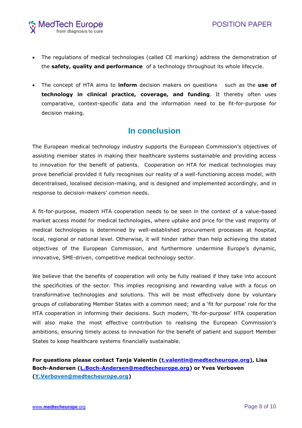

- The regulations of medical technologies (called CE marking) address the demonstration of the **safety, quality and performance** of a technology throughout its whole lifecycle.
- The concept of HTA aims to **inform** decision makers on questions such as the **use of technology in clinical practice, coverage, and funding**. It thereby often uses comparative, context-specific data and the information need to be fit-for-purpose for decision making.

# **In conclusion**

<span id="page-7-0"></span>The European medical technology industry supports the European Commission's objectives of assisting member states in making their healthcare systems sustainable and providing access to innovation for the benefit of patients. Cooperation on HTA for medical technologies may prove beneficial provided it fully recognises our reality of a well-functioning access model, with decentralised, localised decision-making, and is designed and implemented accordingly, and in response to decision-makers' common needs.

A fit-for-purpose, modern HTA cooperation needs to be seen in the context of a value-based market access model for medical technologies, where uptake and price for the vast majority of medical technologies is determined by well-established procurement processes at hospital, local, regional or national level. Otherwise, it will hinder rather than help achieving the stated objectives of the European Commission, and furthermore undermine Europe's dynamic, innovative, SME-driven, competitive medical technology sector.

We believe that the benefits of cooperation will only be fully realised if they take into account the specificities of the sector. This implies recognising and rewarding value with a focus on transformative technologies and solutions. This will be most effectively done by voluntary groups of collaborating Member States with a common need; and a 'fit for purpose' role for the HTA cooperation in informing their decisions. Such modern, 'fit-for-purpose' HTA cooperation will also make the most effective contribution to realising the European Commission's ambitions, ensuring timely access to innovation for the benefit of patient and support Member States to keep healthcare systems financially sustainable.

**For questions please contact Tanja Valentin [\(t.valentin@medtecheurope.org\)](mailto:t.valentin@medtecheurope.org), Lisa Boch-Andersen [\(L.Boch-Andersen@medtecheurope.org\)](mailto:L.Boch-Andersen@medtecheurope.org) or Yves Verboven [\(Y.Verboven@medtecheurope.org\)](mailto:Y.Verboven@medtecheurope.org)**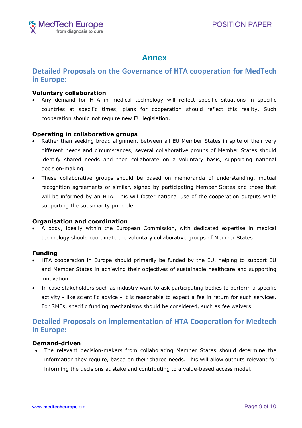

# **Annex**

## <span id="page-8-1"></span><span id="page-8-0"></span>**Detailed Proposals on the Governance of HTA cooperation for MedTech in Europe:**

### <span id="page-8-2"></span>**Voluntary collaboration**

 Any demand for HTA in medical technology will reflect specific situations in specific countries at specific times; plans for cooperation should reflect this reality. Such cooperation should not require new EU legislation.

#### <span id="page-8-3"></span>**Operating in collaborative groups**

- Rather than seeking broad alignment between all EU Member States in spite of their very different needs and circumstances, several collaborative groups of Member States should identify shared needs and then collaborate on a voluntary basis, supporting national decision-making.
- These collaborative groups should be based on memoranda of understanding, mutual recognition agreements or similar, signed by participating Member States and those that will be informed by an HTA. This will foster national use of the cooperation outputs while supporting the subsidiarity principle.

#### <span id="page-8-4"></span>**Organisation and coordination**

 A body, ideally within the European Commission, with dedicated expertise in medical technology should coordinate the voluntary collaborative groups of Member States.

#### <span id="page-8-5"></span>**Funding**

- HTA cooperation in Europe should primarily be funded by the EU, helping to support EU and Member States in achieving their objectives of sustainable healthcare and supporting innovation.
- In case stakeholders such as industry want to ask participating bodies to perform a specific activity - like scientific advice - it is reasonable to expect a fee in return for such services. For SMEs, specific funding mechanisms should be considered, such as fee waivers.

## <span id="page-8-6"></span>**Detailed Proposals on implementation of HTA Cooperation for Medtech in Europe:**

### <span id="page-8-7"></span>**Demand-driven**

 The relevant decision-makers from collaborating Member States should determine the information they require, based on their shared needs. This will allow outputs relevant for informing the decisions at stake and contributing to a value-based access model.